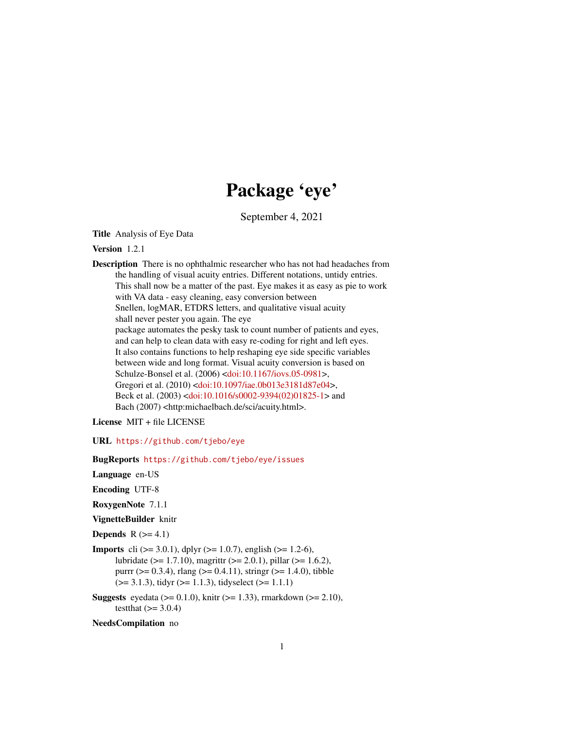## Package 'eye'

September 4, 2021

<span id="page-0-0"></span>Title Analysis of Eye Data

Version 1.2.1

Description There is no ophthalmic researcher who has not had headaches from the handling of visual acuity entries. Different notations, untidy entries. This shall now be a matter of the past. Eye makes it as easy as pie to work with VA data - easy cleaning, easy conversion between Snellen, logMAR, ETDRS letters, and qualitative visual acuity shall never pester you again. The eye package automates the pesky task to count number of patients and eyes, and can help to clean data with easy re-coding for right and left eyes. It also contains functions to help reshaping eye side specific variables between wide and long format. Visual acuity conversion is based on Schulze-Bonsel et al. (2006) [<doi:10.1167/iovs.05-0981>](https://doi.org/10.1167/iovs.05-0981), Gregori et al. (2010) [<doi:10.1097/iae.0b013e3181d87e04>](https://doi.org/10.1097/iae.0b013e3181d87e04), Beck et al. (2003) [<doi:10.1016/s0002-9394\(02\)01825-1>](https://doi.org/10.1016/s0002-9394(02)01825-1) and Bach (2007) <http:michaelbach.de/sci/acuity.html>.

License MIT + file LICENSE

URL <https://github.com/tjebo/eye>

BugReports <https://github.com/tjebo/eye/issues>

Language en-US

Encoding UTF-8

RoxygenNote 7.1.1

VignetteBuilder knitr

Depends  $R$  ( $>= 4.1$ )

**Imports** cli ( $> = 3.0.1$ ), dplyr ( $> = 1.0.7$ ), english ( $> = 1.2-6$ ), lubridate (>= 1.7.10), magrittr (>= 2.0.1), pillar (>= 1.6.2), purrr ( $> = 0.3.4$ ), rlang ( $> = 0.4.11$ ), stringr ( $> = 1.4.0$ ), tibble  $(>= 3.1.3)$ , tidyr  $(>= 1.1.3)$ , tidyselect  $(>= 1.1.1)$ 

**Suggests** eyedata ( $>= 0.1.0$ ), knitr ( $>= 1.33$ ), rmarkdown ( $>= 2.10$ ), testthat  $(>= 3.0.4)$ 

NeedsCompilation no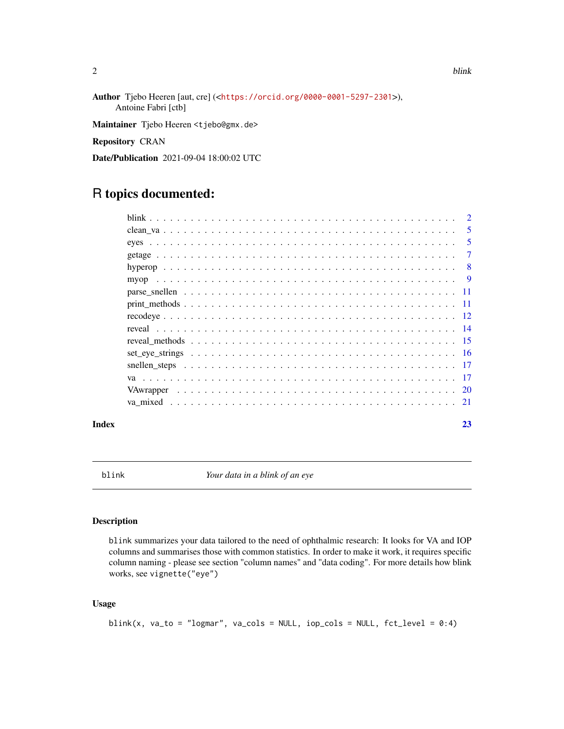Author Tjebo Heeren [aut, cre] (<<https://orcid.org/0000-0001-5297-2301>>),

Maintainer Tjebo Heeren <tjebo@gmx.de>

Repository CRAN

Date/Publication 2021-09-04 18:00:02 UTC

## R topics documented:

Antoine Fabri [ctb]

| $\mathcal{D}_{\mathcal{L}}$ |
|-----------------------------|
| 5                           |
| 5                           |
| 7                           |
| -8                          |
| $\overline{9}$              |
|                             |
|                             |
|                             |
|                             |
|                             |
|                             |
|                             |
| -17                         |
|                             |
|                             |
|                             |

#### **Index** [23](#page-22-0)

blink *Your data in a blink of an eye*

#### Description

blink summarizes your data tailored to the need of ophthalmic research: It looks for VA and IOP columns and summarises those with common statistics. In order to make it work, it requires specific column naming - please see section "column names" and "data coding". For more details how blink works, see vignette("eye")

```
blink(x, va_to = "logmar", va_cols = NULL, iop_cols = NULL, fct_level = 0:4)
```
<span id="page-1-0"></span>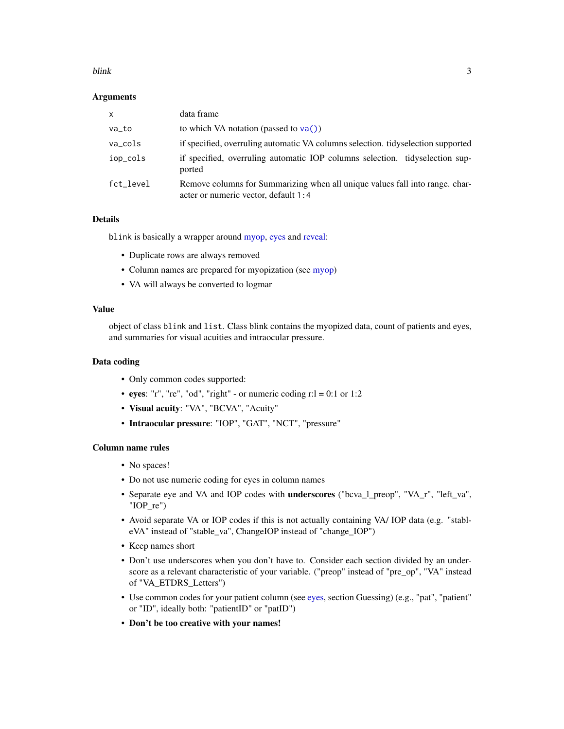#### <span id="page-2-0"></span>blink 3

#### Arguments

| $\mathsf{x}$ | data frame                                                                                                           |
|--------------|----------------------------------------------------------------------------------------------------------------------|
| va_to        | to which VA notation (passed to $va()$ )                                                                             |
| va_cols      | if specified, overruling automatic VA columns selection. tidyselection supported                                     |
| iop_cols     | if specified, overruling automatic IOP columns selection. tidyselection sup-<br>ported                               |
| fct level    | Remove columns for Summarizing when all unique values fall into range, char-<br>acter or numeric vector, default 1:4 |

## Details

blink is basically a wrapper around [myop,](#page-8-1) [eyes](#page-4-1) and [reveal:](#page-13-1)

- Duplicate rows are always removed
- Column names are prepared for myopization (see [myop\)](#page-8-1)
- VA will always be converted to logmar

## Value

object of class blink and list. Class blink contains the myopized data, count of patients and eyes, and summaries for visual acuities and intraocular pressure.

#### Data coding

- Only common codes supported:
- eyes: "r", "re", "od", "right" or numeric coding  $r:l = 0:1$  or 1:2
- Visual acuity: "VA", "BCVA", "Acuity"
- Intraocular pressure: "IOP", "GAT", "NCT", "pressure"

## Column name rules

- No spaces!
- Do not use numeric coding for eyes in column names
- Separate eye and VA and IOP codes with underscores ("bcva\_l\_preop", "VA\_r", "left\_va", "IOP\_re")
- Avoid separate VA or IOP codes if this is not actually containing VA/ IOP data (e.g. "stableVA" instead of "stable\_va", ChangeIOP instead of "change\_IOP")
- Keep names short
- Don't use underscores when you don't have to. Consider each section divided by an underscore as a relevant characteristic of your variable. ("preop" instead of "pre\_op", "VA" instead of "VA\_ETDRS\_Letters")
- Use common codes for your patient column (see [eyes,](#page-4-1) section Guessing) (e.g., "pat", "patient" or "ID", ideally both: "patientID" or "patID")
- Don't be too creative with your names!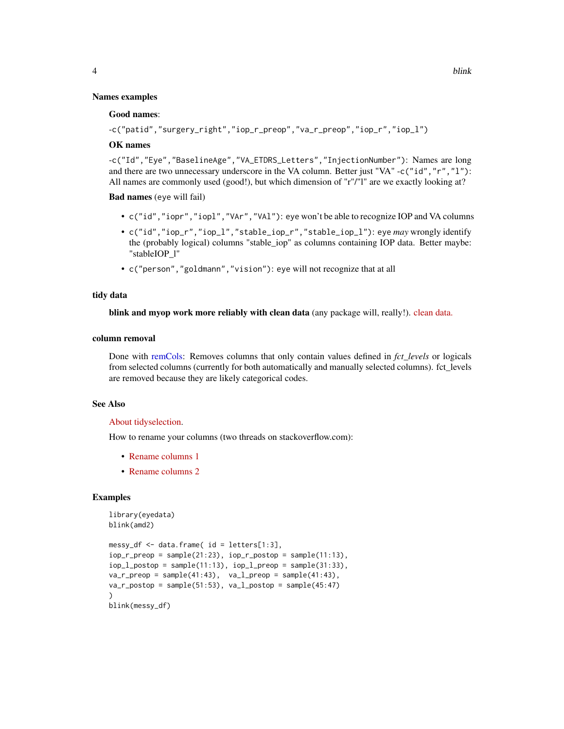#### Good names:

```
-c("patid","surgery_right","iop_r_preop","va_r_preop","iop_r","iop_l")
```
## OK names

-c("Id","Eye","BaselineAge","VA\_ETDRS\_Letters","InjectionNumber"): Names are long and there are two unnecessary underscore in the VA column. Better just "VA" -c("id", "r", "1"): All names are commonly used (good!), but which dimension of "r"/"l" are we exactly looking at?

Bad names (eye will fail)

- c("id","iopr","iopl","VAr","VAl"): eye won't be able to recognize IOP and VA columns
- c("id","iop\_r","iop\_l","stable\_iop\_r","stable\_iop\_l"): eye *may* wrongly identify the (probably logical) columns "stable\_iop" as columns containing IOP data. Better maybe: "stableIOP\_l"
- c("person","goldmann","vision"): eye will not recognize that at all

#### tidy data

blink and myop work more reliably with clean data (any package will, really!). [clean data.](https://tidyr.tidyverse.org/articles/tidy-data.html)

## column removal

Done with [remCols:](#page-0-0) Removes columns that only contain values defined in *fct\_levels* or logicals from selected columns (currently for both automatically and manually selected columns). fct levels are removed because they are likely categorical codes.

## See Also

#### [About tidyselection.](https://tidyselect.r-lib.org/reference/language.html)

How to rename your columns (two threads on stackoverflow.com):

- [Rename columns 1](https://stackoverflow.com/questions/7531868/how-to-rename-a-single-column-in-a-data-frame)
- [Rename columns 2](https://stackoverflow.com/questions/20987295/rename-multiple-columns-by-names/59567220#59567220)

#### Examples

```
library(eyedata)
blink(amd2)
messy_df <- data.frame( id = letters[1:3],
iop_r_preop = sample(21:23), iop_r_postop = sample(11:13),
iop_l_postop = sample(11:13), iop_l_prop = sample(31:33),
va_r_preop = sample(41:43), va_l_preop = sample(41:43),
va_r_postop = sample(51:53), val_postop = sample(45:47)\lambdablink(messy_df)
```
<span id="page-3-0"></span>4 blink and the state of the state of the state of the state of the state of the state of the state of the state of the state of the state of the state of the state of the state of the state of the state of the state of th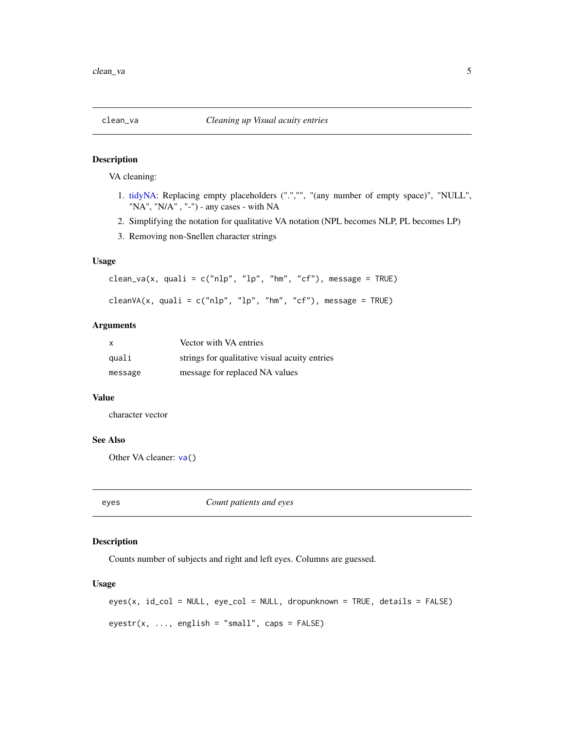<span id="page-4-2"></span><span id="page-4-0"></span>

#### Description

VA cleaning:

- 1. [tidyNA:](#page-0-0) Replacing empty placeholders (".","", "(any number of empty space)", "NULL", "NA", "N/A", "-") - any cases - with NA
- 2. Simplifying the notation for qualitative VA notation (NPL becomes NLP, PL becomes LP)
- 3. Removing non-Snellen character strings

## Usage

```
clean_va(x, quali = c("nlp", "lp", "hm", "cf"), message = TRUE)
```

```
cleanVA(x, quali = c("nlp", "lp", "hm", "cf"), message = TRUE)
```
#### Arguments

| $\mathsf{x}$ | Vector with VA entries                        |
|--------------|-----------------------------------------------|
| quali        | strings for qualitative visual acuity entries |
| message      | message for replaced NA values                |

#### Value

character vector

## See Also

Other VA cleaner: [va\(](#page-16-1))

<span id="page-4-1"></span>

eyes *Count patients and eyes*

## Description

Counts number of subjects and right and left eyes. Columns are guessed.

```
eyes(x, id_col = NULL, eye_col = NULL, dropunknown = TRUE, details = FALSE)
e_yestr(x, ..., english = "small", caps = FALSE)
```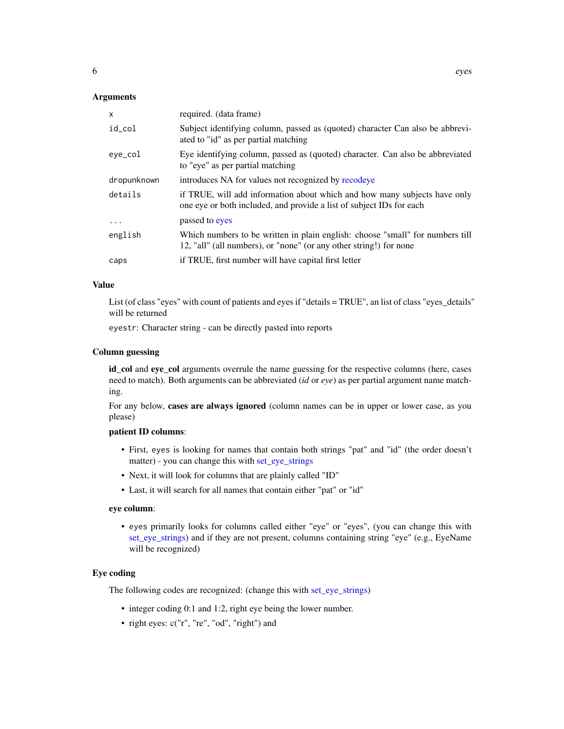#### <span id="page-5-0"></span>Arguments

| X           | required. (data frame)                                                                                                                              |
|-------------|-----------------------------------------------------------------------------------------------------------------------------------------------------|
| id_col      | Subject identifying column, passed as (quoted) character Can also be abbrevi-<br>ated to "id" as per partial matching                               |
| eye_col     | Eye identifying column, passed as (quoted) character. Can also be abbreviated<br>to "eye" as per partial matching                                   |
| dropunknown | introduces NA for values not recognized by recodeye                                                                                                 |
| details     | if TRUE, will add information about which and how many subjects have only<br>one eye or both included, and provide a list of subject IDs for each   |
| $\ddots$    | passed to eyes                                                                                                                                      |
| english     | Which numbers to be written in plain english: choose "small" for numbers till<br>12, "all" (all numbers), or "none" (or any other string!) for none |
| caps        | if TRUE, first number will have capital first letter                                                                                                |

## Value

List (of class "eyes" with count of patients and eyes if "details = TRUE", an list of class "eyes\_details" will be returned

eyestr: Character string - can be directly pasted into reports

#### Column guessing

id\_col and eye\_col arguments overrule the name guessing for the respective columns (here, cases need to match). Both arguments can be abbreviated (*id* or *eye*) as per partial argument name matching.

For any below, cases are always ignored (column names can be in upper or lower case, as you please)

## patient ID columns:

- First, eyes is looking for names that contain both strings "pat" and "id" (the order doesn't matter) - you can change this with [set\\_eye\\_strings](#page-15-1)
- Next, it will look for columns that are plainly called "ID"
- Last, it will search for all names that contain either "pat" or "id"

#### eye column:

• eyes primarily looks for columns called either "eye" or "eyes", (you can change this with [set\\_eye\\_strings\)](#page-15-1) and if they are not present, columns containing string "eye" (e.g., EyeName will be recognized)

## Eye coding

The following codes are recognized: (change this with [set\\_eye\\_strings\)](#page-15-1)

- integer coding 0:1 and 1:2, right eye being the lower number.
- right eyes: c("r", "re", "od", "right") and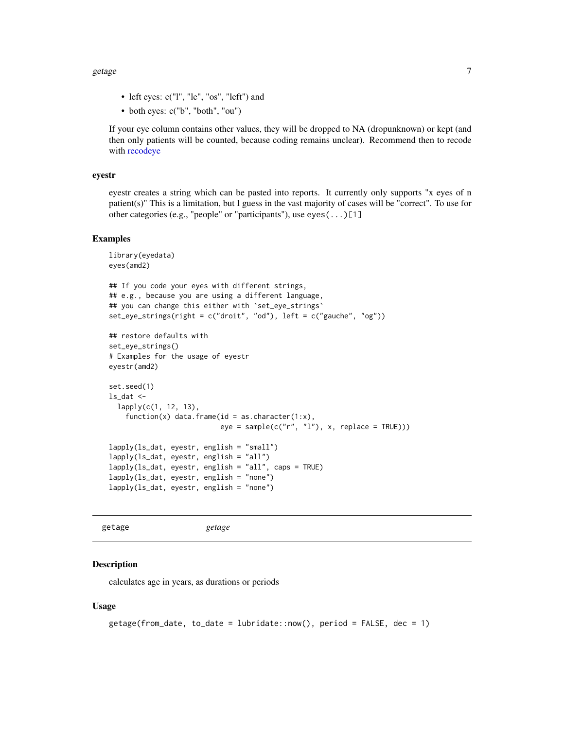<span id="page-6-0"></span>getage  $\Box$ 

- left eyes: c("l", "le", "os", "left") and
- both eyes: c("b", "both", "ou")

If your eye column contains other values, they will be dropped to NA (dropunknown) or kept (and then only patients will be counted, because coding remains unclear). Recommend then to recode with [recodeye](#page-11-1)

#### eyestr

eyestr creates a string which can be pasted into reports. It currently only supports "x eyes of n patient(s)" This is a limitation, but I guess in the vast majority of cases will be "correct". To use for other categories (e.g., "people" or "participants"), use eyes(...)[1]

## Examples

```
library(eyedata)
eyes(amd2)
## If you code your eyes with different strings,
## e.g., because you are using a different language,
## you can change this either with 'set_eye_strings'
set_eye_strings(right = c("droit", "od"), left = c("gauche", "og"))
## restore defaults with
set_eye_strings()
# Examples for the usage of eyestr
eyestr(amd2)
set.seed(1)
ls\_dat <-
  lapply(c(1, 12, 13),
    function(x) data.frame(id = as.character(1:x),
                           eye = sample(c("r", "l"), x, replace = TRUE)))lapply(ls_dat, eyestr, english = "small")
lapply(ls_dat, eyestr, english = "all")
lapply(ls_dat, eyestr, english = "all", caps = TRUE)
lapply(ls_dat, eyestr, english = "none")
lapply(ls_dat, eyestr, english = "none")
```

```
getage getage
```
#### **Description**

calculates age in years, as durations or periods

```
getage(from_data, to_data = lubridate::now(), period = FALSE, dec = 1)
```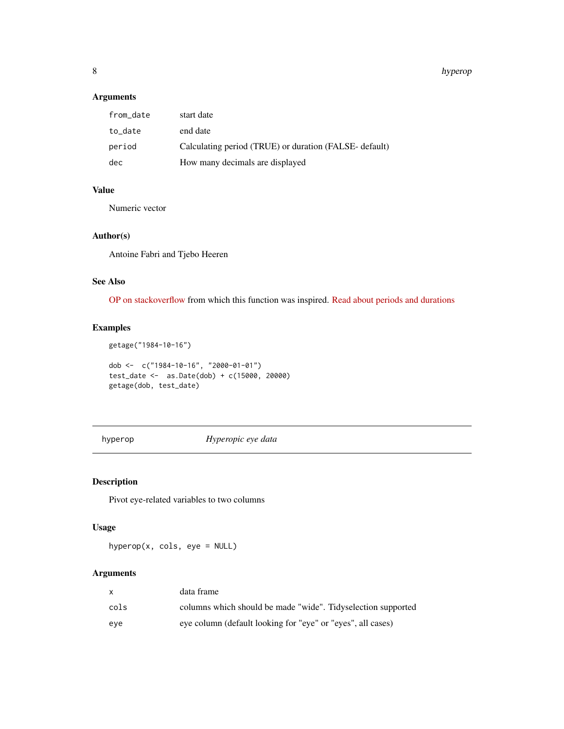#### 8 hyperoparticle in the control of the control of the control of the control of the control of the control of the control of the control of the control of the control of the control of the control of the control of the con

## Arguments

| from_date | start date                                             |
|-----------|--------------------------------------------------------|
| to date   | end date                                               |
| period    | Calculating period (TRUE) or duration (FALSE- default) |
| dec       | How many decimals are displayed                        |

## Value

Numeric vector

## Author(s)

Antoine Fabri and Tjebo Heeren

## See Also

[OP on stackoverflow](https://stackoverflow.com/a/47529507/7941188) from which this function was inspired. [Read about periods and durations](https://lubridate.tidyverse.org/articles/lubridate.html#time-intervals)

## Examples

```
getage("1984-10-16")
dob <- c("1984-10-16", "2000-01-01")
test_date <- as.Date(dob) + c(15000, 20000)
```

```
getage(dob, test_date)
```
hyperop *Hyperopic eye data*

## Description

Pivot eye-related variables to two columns

## Usage

hyperop(x, cols, eye = NULL)

## Arguments

|      | data frame                                                   |
|------|--------------------------------------------------------------|
| cols | columns which should be made "wide". Tidyselection supported |
| eve  | eye column (default looking for "eye" or "eyes", all cases)  |

<span id="page-7-0"></span>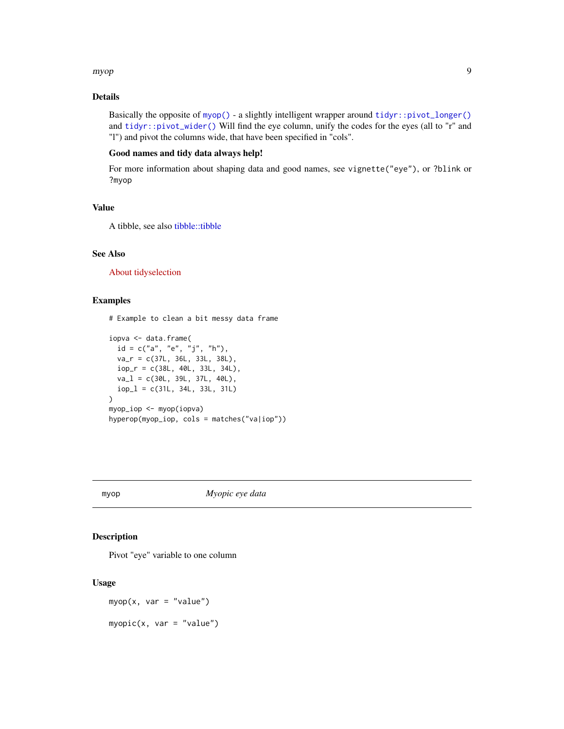#### <span id="page-8-0"></span>myop 9

## Details

Basically the opposite of [myop\(\)](#page-8-1) - a slightly intelligent wrapper around [tidyr::pivot\\_longer\(\)](#page-0-0) and [tidyr::pivot\\_wider\(\)](#page-0-0) Will find the eye column, unify the codes for the eyes (all to "r" and "l") and pivot the columns wide, that have been specified in "cols".

## Good names and tidy data always help!

For more information about shaping data and good names, see vignette("eye"), or ?blink or ?myop

## Value

A tibble, see also [tibble::tibble](#page-0-0)

## See Also

[About tidyselection](https://tidyselect.r-lib.org/reference/language.html)

## Examples

```
# Example to clean a bit messy data frame
iopva <- data.frame(
  id = c("a", "e", "j", "h"),
  va_r = c(37L, 36L, 33L, 38L),
  iop_r = c(38L, 40L, 33L, 34L),
  va_l = c(30L, 39L, 37L, 40L),iop_l = c(31L, 34L, 33L, 31L)
)
myop_iop <- myop(iopva)
hyperop(myop_iop, cols = matches("va|iop"))
```
<span id="page-8-1"></span>

#### myop *Myopic eye data*

## Description

Pivot "eye" variable to one column

```
myop(x, var = "value")myopic(x, var = "value")
```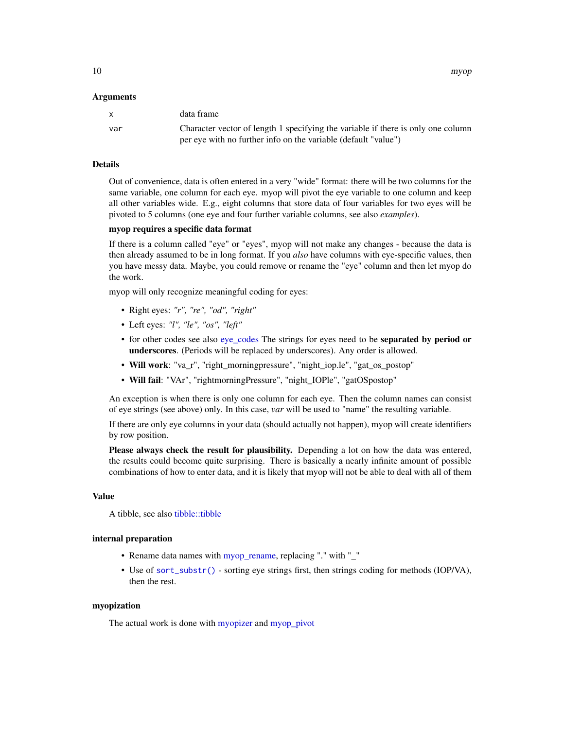<span id="page-9-0"></span>10 myop

#### Arguments

|     | data frame                                                                       |
|-----|----------------------------------------------------------------------------------|
| var | Character vector of length 1 specifying the variable if there is only one column |
|     | per eye with no further info on the variable (default "value")                   |

## Details

Out of convenience, data is often entered in a very "wide" format: there will be two columns for the same variable, one column for each eye. myop will pivot the eye variable to one column and keep all other variables wide. E.g., eight columns that store data of four variables for two eyes will be pivoted to 5 columns (one eye and four further variable columns, see also *examples*).

## myop requires a specific data format

If there is a column called "eye" or "eyes", myop will not make any changes - because the data is then already assumed to be in long format. If you *also* have columns with eye-specific values, then you have messy data. Maybe, you could remove or rename the "eye" column and then let myop do the work.

myop will only recognize meaningful coding for eyes:

- Right eyes: *"r", "re", "od", "right"*
- Left eyes: *"l", "le", "os", "left"*
- for other codes see also [eye\\_codes](#page-0-0) The strings for eyes need to be **separated by period or** underscores. (Periods will be replaced by underscores). Any order is allowed.
- Will work: "va\_r", "right\_morningpressure", "night\_iop.le", "gat\_os\_postop"
- Will fail: "VAr", "rightmorningPressure", "night\_IOPle", "gatOSpostop"

An exception is when there is only one column for each eye. Then the column names can consist of eye strings (see above) only. In this case, *var* will be used to "name" the resulting variable.

If there are only eye columns in your data (should actually not happen), myop will create identifiers by row position.

Please always check the result for plausibility. Depending a lot on how the data was entered, the results could become quite surprising. There is basically a nearly infinite amount of possible combinations of how to enter data, and it is likely that myop will not be able to deal with all of them

## Value

A tibble, see also [tibble::tibble](#page-0-0)

#### internal preparation

- Rename data names with [myop\\_rename,](#page-0-0) replacing "." with "\_"
- Use of [sort\\_substr\(\)](#page-0-0) sorting eye strings first, then strings coding for methods (IOP/VA), then the rest.

#### myopization

The actual work is done with [myopizer](#page-0-0) and [myop\\_pivot](#page-0-0)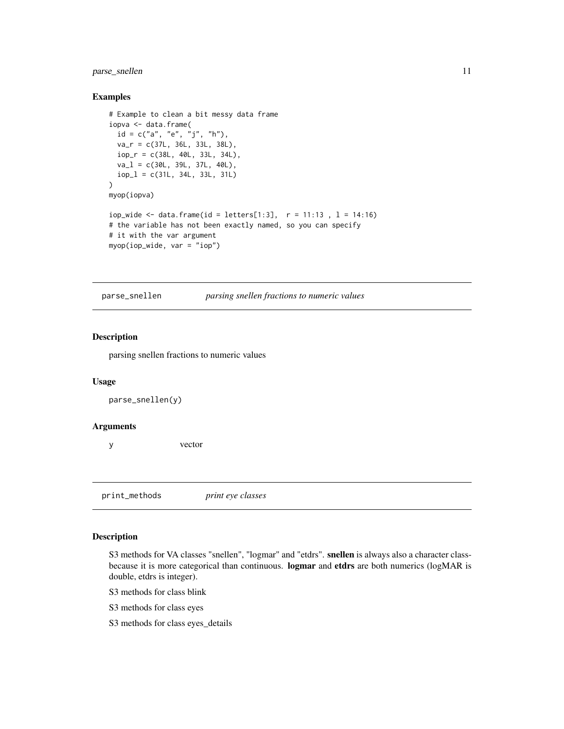## <span id="page-10-0"></span>parse\_snellen 11

#### Examples

```
# Example to clean a bit messy data frame
iopva <- data.frame(
  id = c("a", "e", "j", "h"),
  va_r = c(37L, 36L, 33L, 38L),
  iop_r = c(38L, 40L, 33L, 34L),
  va_l = c(30L, 39L, 37L, 40L),
  iop_l = c(31L, 34L, 33L, 31L)
\lambdamyop(iopva)
iop_wide <- data.frame(id = letters[1:3], r = 11:13, l = 14:16)
# the variable has not been exactly named, so you can specify
# it with the var argument
myop(iop_wide, var = "iop")
```
parse\_snellen *parsing snellen fractions to numeric values*

#### Description

parsing snellen fractions to numeric values

#### Usage

parse\_snellen(y)

#### Arguments

y vector

print\_methods *print eye classes*

#### Description

S3 methods for VA classes "snellen", "logmar" and "etdrs". snellen is always also a character classbecause it is more categorical than continuous. **logmar** and etdrs are both numerics (logMAR is double, etdrs is integer).

S3 methods for class blink

S3 methods for class eyes

S3 methods for class eyes\_details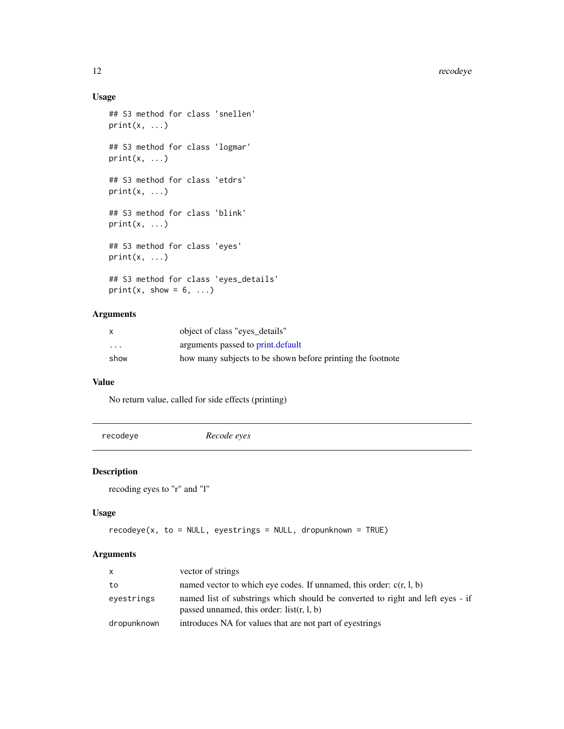## <span id="page-11-0"></span>Usage

```
## S3 method for class 'snellen'
print(x, \ldots)## S3 method for class 'logmar'
print(x, \ldots)## S3 method for class 'etdrs'
print(x, \ldots)## S3 method for class 'blink'
print(x, \ldots)## S3 method for class 'eyes'
print(x, \ldots)## S3 method for class 'eyes_details'
print(x, show = 6, ...)
```
## Arguments

| X                       | object of class "eyes details"                             |
|-------------------------|------------------------------------------------------------|
| $\cdot$ $\cdot$ $\cdot$ | arguments passed to print.default                          |
| show                    | how many subjects to be shown before printing the footnote |

#### Value

No return value, called for side effects (printing)

<span id="page-11-1"></span>

| recodeye | Recode eyes |  |
|----------|-------------|--|
|          |             |  |

## Description

```
recoding eyes to "r" and "l"
```
## Usage

```
recodeye(x, to = NULL, eyestrings = NULL, dropunknow = TRUE)
```
## Arguments

| $\mathsf{x}$ | vector of strings                                                                                                             |
|--------------|-------------------------------------------------------------------------------------------------------------------------------|
| to           | named vector to which eye codes. If unnamed, this order: $c(r, l, b)$                                                         |
| eyestrings   | named list of substrings which should be converted to right and left eyes - if<br>passed unnamed, this order: $list(r, l, b)$ |
| dropunknown  | introduces NA for values that are not part of eyestrings                                                                      |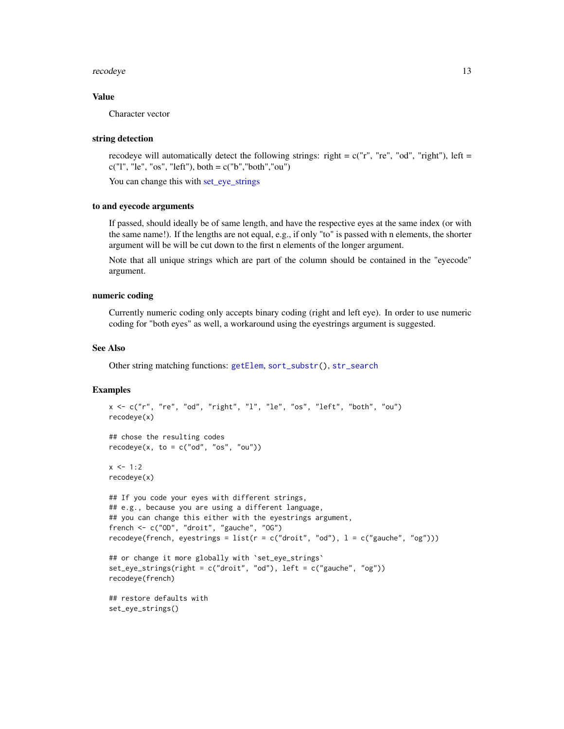#### <span id="page-12-0"></span>recodeye and the state of the state of the state of the state of the state of the state of the state of the state of the state of the state of the state of the state of the state of the state of the state of the state of t

## Value

Character vector

#### string detection

recodeye will automatically detect the following strings: right =  $c("r", "re", "od", "right"), left =$  $c("l", "le", "os", "left"), both = c("b", "both", "ou")$ 

You can change this with [set\\_eye\\_strings](#page-15-1)

## to and eyecode arguments

If passed, should ideally be of same length, and have the respective eyes at the same index (or with the same name!). If the lengths are not equal, e.g., if only "to" is passed with n elements, the shorter argument will be will be cut down to the first n elements of the longer argument.

Note that all unique strings which are part of the column should be contained in the "eyecode" argument.

#### numeric coding

Currently numeric coding only accepts binary coding (right and left eye). In order to use numeric coding for "both eyes" as well, a workaround using the eyestrings argument is suggested.

## See Also

Other string matching functions: [getElem](#page-0-0), [sort\\_substr\(](#page-0-0)), [str\\_search](#page-0-0)

#### Examples

```
x <- c("r", "re", "od", "right", "l", "le", "os", "left", "both", "ou")
recodeye(x)
## chose the resulting codes
recodeye(x, to = c("od", "os", "ou"))x < -1:2recodeye(x)
## If you code your eyes with different strings,
## e.g., because you are using a different language,
## you can change this either with the eyestrings argument,
french <- c("OD", "droit", "gauche", "OG")
recodeye(french, eyestrings = list(r = c("droit", "od"), l = c("gauche", "og")))
## or change it more globally with 'set_eye_strings'
set_eye_strings(right = c("droit", "od"), left = c("gauche", "og"))
recodeye(french)
## restore defaults with
```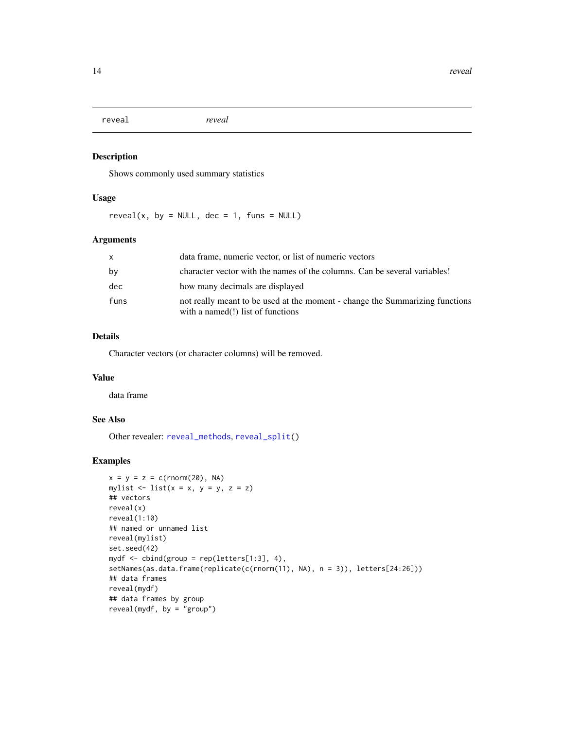<span id="page-13-1"></span><span id="page-13-0"></span>reveal *reveal*

## Description

Shows commonly used summary statistics

## Usage

reveal(x, by = NULL, dec = 1, funs = NULL)

## Arguments

| x    | data frame, numeric vector, or list of numeric vectors                                                            |
|------|-------------------------------------------------------------------------------------------------------------------|
| by   | character vector with the names of the columns. Can be several variables!                                         |
| dec  | how many decimals are displayed                                                                                   |
| funs | not really meant to be used at the moment - change the Summarizing functions<br>with a named(!) list of functions |

## Details

Character vectors (or character columns) will be removed.

## Value

data frame

## See Also

Other revealer: [reveal\\_methods](#page-14-1), [reveal\\_split\(](#page-0-0))

## Examples

```
x = y = z = c(rnorm(20), NA)mylist \le list(x = x, y = y, z = z)
## vectors
reveal(x)
reveal(1:10)
## named or unnamed list
reveal(mylist)
set.seed(42)
mydf \le cbind(group = rep(letters[1:3], 4),
setNames(as.data.frame(replicate(c(rnorm(11), NA), n = 3)), letters[24:26]))
## data frames
reveal(mydf)
## data frames by group
reveal(mydf, by = "group")
```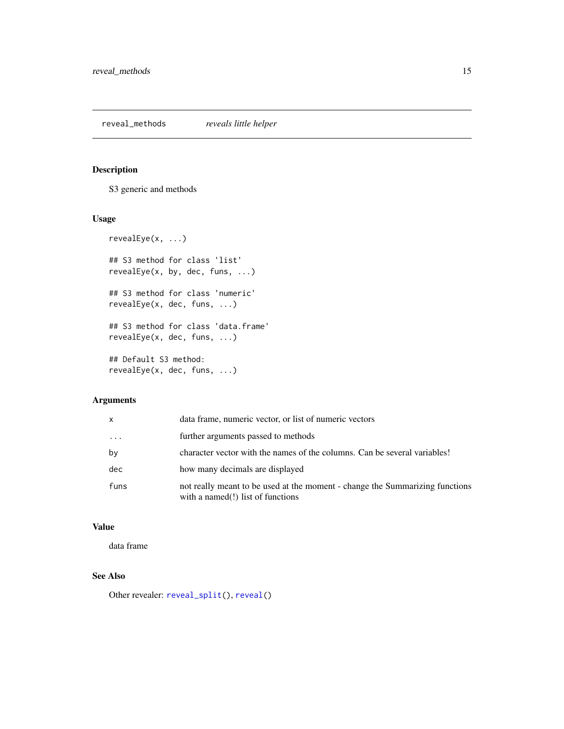<span id="page-14-1"></span><span id="page-14-0"></span>reveal\_methods *reveals little helper*

## Description

S3 generic and methods

## Usage

```
revealEye(x, ...)
## S3 method for class 'list'
revealEye(x, by, dec, funs, ...)
## S3 method for class 'numeric'
revealEye(x, dec, funs, ...)
## S3 method for class 'data.frame'
revealEye(x, dec, funs, ...)
## Default S3 method:
revealEye(x, dec, funs, ...)
```
## Arguments

| x    | data frame, numeric vector, or list of numeric vectors                                                               |
|------|----------------------------------------------------------------------------------------------------------------------|
| .    | further arguments passed to methods                                                                                  |
| bν   | character vector with the names of the columns. Can be several variables!                                            |
| dec  | how many decimals are displayed                                                                                      |
| funs | not really meant to be used at the moment - change the Summarizing functions<br>with a named $(!)$ list of functions |

## Value

data frame

## See Also

Other revealer: [reveal\\_split\(](#page-0-0)), [reveal\(](#page-13-1))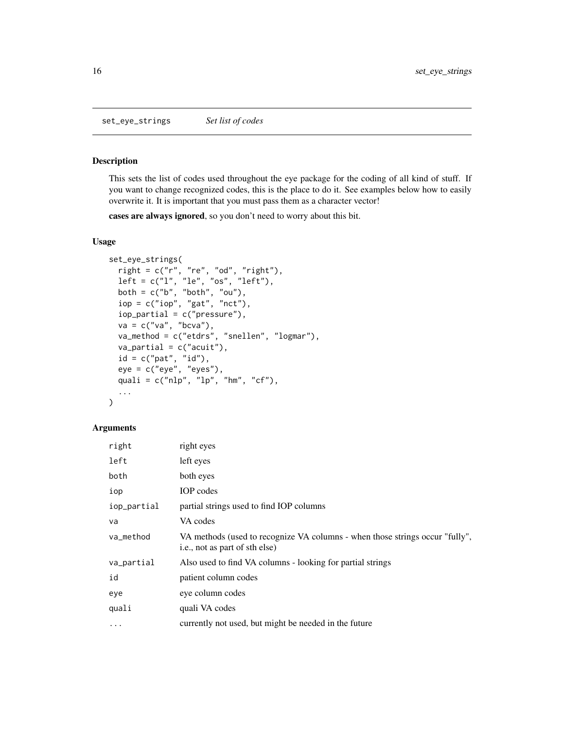<span id="page-15-1"></span><span id="page-15-0"></span>set\_eye\_strings *Set list of codes*

## Description

This sets the list of codes used throughout the eye package for the coding of all kind of stuff. If you want to change recognized codes, this is the place to do it. See examples below how to easily overwrite it. It is important that you must pass them as a character vector!

cases are always ignored, so you don't need to worry about this bit.

## Usage

```
set_eye_strings(
  right = c("r", "re", "od", "right"),
  left = c("l", "le", "os", "left"),
 both = c("b", "both", "ou"),
  iop = c("iop", "gat", "nct"),
  iop\_partial = c("pressure"),va = c("va", "bcva"),va_method = c("etdrs", "snellen", "logmar"),
  va-partial = c("acuit"),id = c("pat", "id"),
 eye = c("eye", "eyes"),quali = c("nlp", "lp", "hm", "cf"),...
\mathcal{L}
```
#### Arguments

| right       | right eyes                                                                                                     |
|-------------|----------------------------------------------------------------------------------------------------------------|
| left        | left eyes                                                                                                      |
| both        | both eyes                                                                                                      |
| iop         | IOP codes                                                                                                      |
| iop_partial | partial strings used to find IOP columns                                                                       |
| va          | VA codes                                                                                                       |
| va_method   | VA methods (used to recognize VA columns - when those strings occur "fully",<br>i.e., not as part of sth else) |
| va_partial  | Also used to find VA columns - looking for partial strings                                                     |
| id          | patient column codes                                                                                           |
| eye         | eye column codes                                                                                               |
| quali       | quali VA codes                                                                                                 |
| $\cdots$    | currently not used, but might be needed in the future                                                          |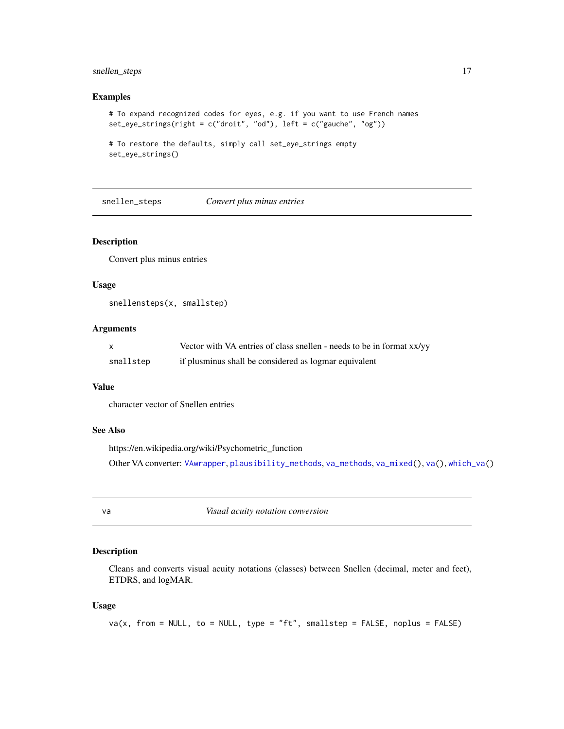## <span id="page-16-0"></span>snellen\_steps 17

#### Examples

```
# To expand recognized codes for eyes, e.g. if you want to use French names
set_eye_strings(right = c("droit", "od"), left = c("gauche", "og"))
```

```
# To restore the defaults, simply call set_eye_strings empty
set_eye_strings()
```
<span id="page-16-2"></span>snellen\_steps *Convert plus minus entries*

## Description

Convert plus minus entries

## Usage

snellensteps(x, smallstep)

## Arguments

|           | Vector with VA entries of class snellen - needs to be in format xx/yy |
|-----------|-----------------------------------------------------------------------|
| smallstep | if plusminus shall be considered as logmar equivalent                 |

## Value

character vector of Snellen entries

## See Also

https://en.wikipedia.org/wiki/Psychometric\_function Other VA converter: [VAwrapper](#page-19-1), [plausibility\\_methods](#page-0-0), [va\\_methods](#page-0-0), [va\\_mixed\(](#page-20-1)), [va\(](#page-16-1)), [which\\_va\(](#page-0-0))

<span id="page-16-1"></span>va *Visual acuity notation conversion*

#### Description

Cleans and converts visual acuity notations (classes) between Snellen (decimal, meter and feet), ETDRS, and logMAR.

```
va(x, from = NULL, to = NULL, type = "ft", smallstep = FALSE, noplus = FALSE)
```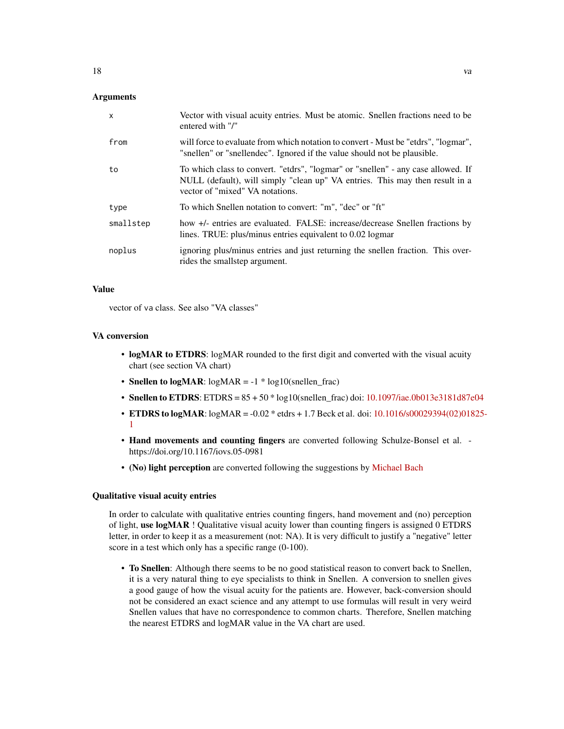| X         | Vector with visual acuity entries. Must be atomic. Snellen fractions need to be<br>entered with "/"                                                                                                 |
|-----------|-----------------------------------------------------------------------------------------------------------------------------------------------------------------------------------------------------|
| from      | will force to evaluate from which notation to convert - Must be "etdrs", "logmar",<br>"snellen" or "snellendec". Ignored if the value should not be plausible.                                      |
| to        | To which class to convert. "etdrs", "logmar" or "snellen" - any case allowed. If<br>NULL (default), will simply "clean up" VA entries. This may then result in a<br>vector of "mixed" VA notations. |
| type      | To which Snellen notation to convert: "m", "dec" or "ft"                                                                                                                                            |
| smallstep | how +/- entries are evaluated. FALSE: increase/decrease Snellen fractions by<br>lines. TRUE: plus/minus entries equivalent to 0.02 logmar                                                           |
| noplus    | ignoring plus/minus entries and just returning the snellen fraction. This over-<br>rides the smallstep argument.                                                                                    |

## Value

vector of va class. See also "VA classes"

#### VA conversion

- logMAR to ETDRS: logMAR rounded to the first digit and converted with the visual acuity chart (see section VA chart)
- Snellen to  $logMAR$ :  $logMAR = -1 * log10(snellen frac)$
- Snellen to ETDRS: ETDRS =  $85 + 50 * log10$ (snellen\_frac) doi: [10.1097/iae.0b013e3181d87e04](https://doi.org/10.1097/iae.0b013e3181d87e04)
- ETDRS to logMAR:  $logMAR = -0.02$  \* etdrs + 1.7 Beck et al. doi:  $10.1016/s00029394(02)01825$  $10.1016/s00029394(02)01825$ -[1](https://doi.org/10.1016/s0002-9394(02)01825-1)
- Hand movements and counting fingers are converted following Schulze-Bonsel et al. https://doi.org/10.1167/iovs.05-0981
- (No) light perception are converted following the suggestions by [Michael Bach](https://michaelbach.de/sci/acuity.html)

#### Qualitative visual acuity entries

In order to calculate with qualitative entries counting fingers, hand movement and (no) perception of light, use logMAR ! Qualitative visual acuity lower than counting fingers is assigned 0 ETDRS letter, in order to keep it as a measurement (not: NA). It is very difficult to justify a "negative" letter score in a test which only has a specific range (0-100).

• To Snellen: Although there seems to be no good statistical reason to convert back to Snellen, it is a very natural thing to eye specialists to think in Snellen. A conversion to snellen gives a good gauge of how the visual acuity for the patients are. However, back-conversion should not be considered an exact science and any attempt to use formulas will result in very weird Snellen values that have no correspondence to common charts. Therefore, Snellen matching the nearest ETDRS and logMAR value in the VA chart are used.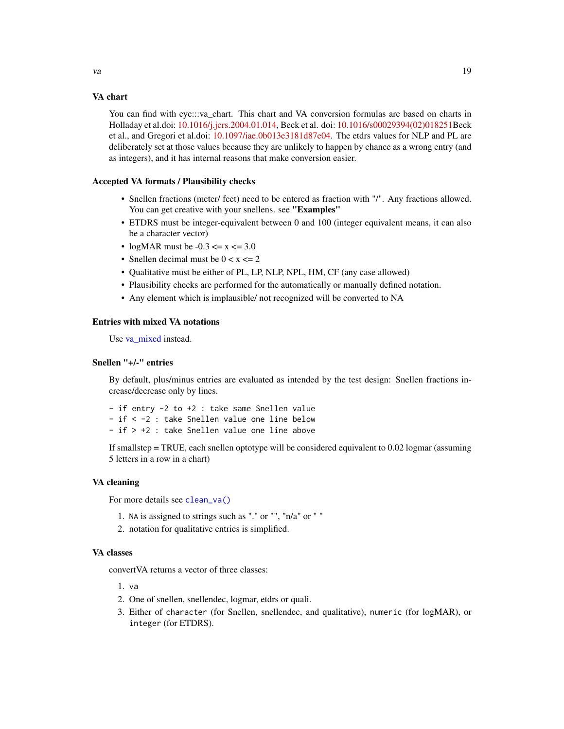<span id="page-18-0"></span>You can find with eye:::va\_chart. This chart and VA conversion formulas are based on charts in Holladay et al.doi: [10.1016/j.jcrs.2004.01.014,](https://doi.org/10.1016/j.jcrs.2004.01.014) Beck et al. doi: [10.1016/s00029394\(02\)018251B](https://doi.org/10.1016/s0002-9394(02)01825-1)eck et al., and Gregori et al.doi: [10.1097/iae.0b013e3181d87e04.](https://doi.org/10.1097/iae.0b013e3181d87e04) The etdrs values for NLP and PL are deliberately set at those values because they are unlikely to happen by chance as a wrong entry (and as integers), and it has internal reasons that make conversion easier.

## Accepted VA formats / Plausibility checks

- Snellen fractions (meter/ feet) need to be entered as fraction with "/". Any fractions allowed. You can get creative with your snellens. see "Examples"
- ETDRS must be integer-equivalent between 0 and 100 (integer equivalent means, it can also be a character vector)
- logMAR must be  $-0.3 \le x \le 3.0$
- Snellen decimal must be  $0 < x < 2$
- Qualitative must be either of PL, LP, NLP, NPL, HM, CF (any case allowed)
- Plausibility checks are performed for the automatically or manually defined notation.
- Any element which is implausible/ not recognized will be converted to NA

#### Entries with mixed VA notations

Use [va\\_mixed](#page-20-1) instead.

## Snellen "+/-" entries

By default, plus/minus entries are evaluated as intended by the test design: Snellen fractions increase/decrease only by lines.

- if entry -2 to +2 : take same Snellen value - if < -2 : take Snellen value one line below - if > +2 : take Snellen value one line above

If smallstep = TRUE, each snellen optotype will be considered equivalent to 0.02 logmar (assuming 5 letters in a row in a chart)

#### VA cleaning

For more details see [clean\\_va\(\)](#page-4-2)

- 1. NA is assigned to strings such as "." or "", "n/a" or " "
- 2. notation for qualitative entries is simplified.

## VA classes

convertVA returns a vector of three classes:

- 1. va
- 2. One of snellen, snellendec, logmar, etdrs or quali.
- 3. Either of character (for Snellen, snellendec, and qualitative), numeric (for logMAR), or integer (for ETDRS).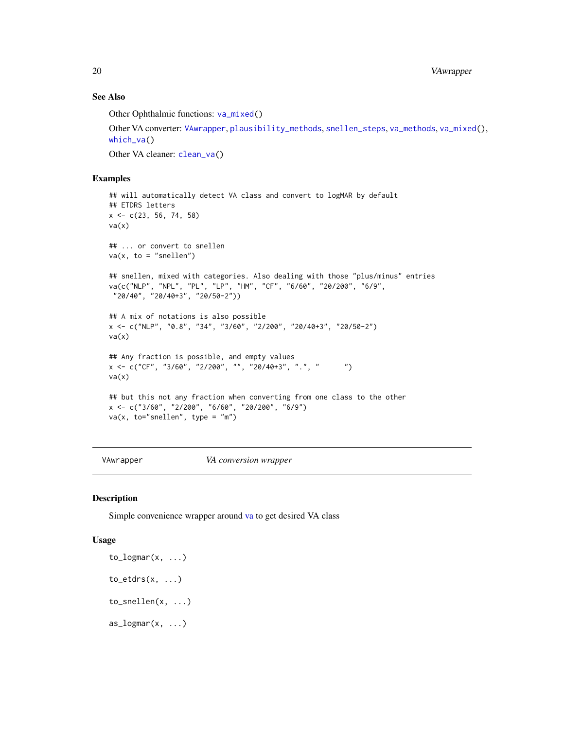## See Also

Other Ophthalmic functions: [va\\_mixed\(](#page-20-1))

Other VA converter: [VAwrapper](#page-19-1), [plausibility\\_methods](#page-0-0), [snellen\\_steps](#page-16-2), [va\\_methods](#page-0-0), [va\\_mixed\(](#page-20-1)), [which\\_va\(](#page-0-0))

Other VA cleaner: [clean\\_va\(](#page-4-2))

## Examples

```
## will automatically detect VA class and convert to logMAR by default
## ETDRS letters
x \leq -c(23, 56, 74, 58)va(x)## ... or convert to snellen
va(x, to = "smallen")## snellen, mixed with categories. Also dealing with those "plus/minus" entries
va(c("NLP", "NPL", "PL", "LP", "HM", "CF", "6/60", "20/200", "6/9",
"20/40", "20/40+3", "20/50-2"))
## A mix of notations is also possible
x <- c("NLP", "0.8", "34", "3/60", "2/200", "20/40+3", "20/50-2")
va(x)## Any fraction is possible, and empty values
x \leq -c("CF", "3/60", "2/200", "", "20/40+3", "."", " "va(x)## but this not any fraction when converting from one class to the other
x <- c("3/60", "2/200", "6/60", "20/200", "6/9")
va(x, to="s snellen", type = "m")
```
<span id="page-19-1"></span>

VAwrapper *VA conversion wrapper*

#### Description

Simple convenience wrapper around [va](#page-16-1) to get desired VA class

#### Usage

 $to$  $logmar(x, \ldots)$  $to\_etdrs(x, \ldots)$ to\_snellen(x, ...)  $as\_{logmar}(x, \ldots)$ 

<span id="page-19-0"></span>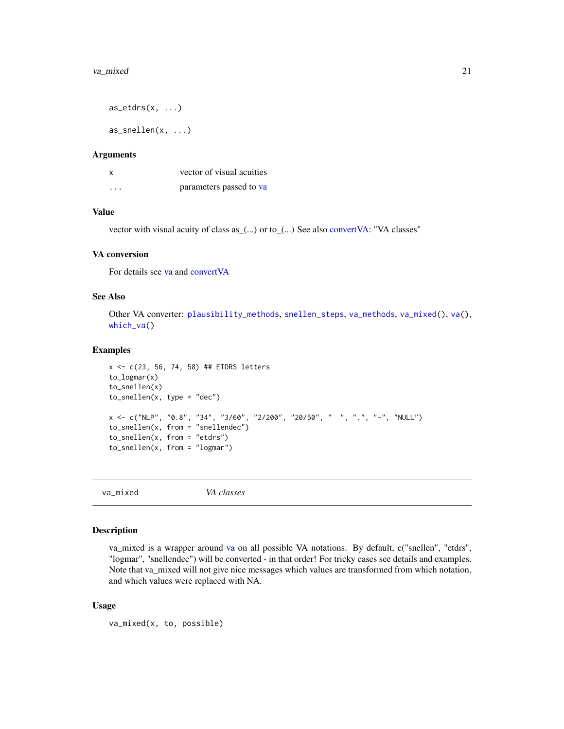<span id="page-20-0"></span> $as\_etdrs(x, \ldots)$  $as\_smallen(x, ...)$ 

#### Arguments

| X | vector of visual acuities |
|---|---------------------------|
| . | parameters passed to va   |

## Value

vector with visual acuity of class as\_(...) or to\_(...) See also [convertVA:](#page-0-0) "VA classes"

#### VA conversion

For details see [va](#page-16-1) and [convertVA](#page-0-0)

#### See Also

Other VA converter: [plausibility\\_methods](#page-0-0), [snellen\\_steps](#page-16-2), [va\\_methods](#page-0-0), [va\\_mixed\(](#page-20-1)), [va\(](#page-16-1)), [which\\_va\(](#page-0-0))

#### Examples

```
x <- c(23, 56, 74, 58) ## ETDRS letters
to_logmar(x)
to_snellen(x)
to\_smallen(x, type = "dec")x <- c("NLP", "0.8", "34", "3/60", "2/200", "20/50", " ", ".", "-", "NULL")
to_snellen(x, from = "snellendec")
to_snellen(x, from = "etdrs")
to_snellen(x, from = "logmar")
```
<span id="page-20-1"></span>va\_mixed *VA classes*

## Description

va\_mixed is a wrapper around [va](#page-16-1) on all possible VA notations. By default, c("snellen", "etdrs", "logmar", "snellendec") will be converted - in that order! For tricky cases see details and examples. Note that va\_mixed will not give nice messages which values are transformed from which notation, and which values were replaced with NA.

#### Usage

va\_mixed(x, to, possible)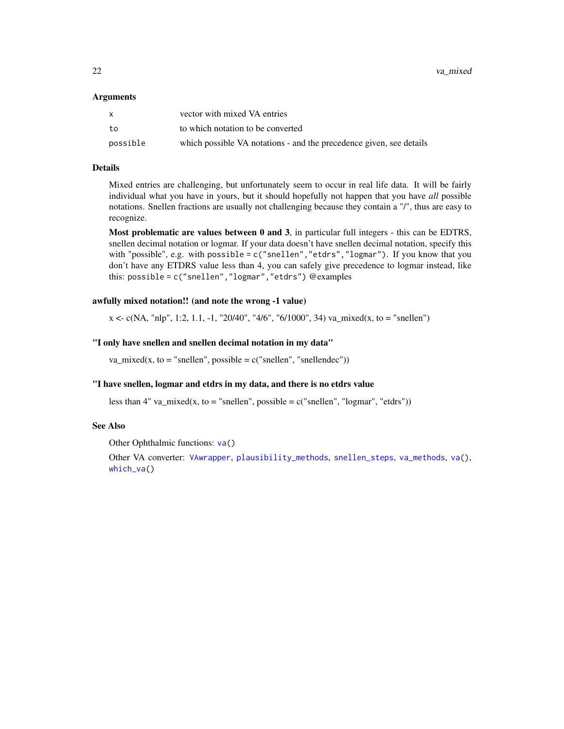#### <span id="page-21-0"></span>Arguments

|          | vector with mixed VA entries                                        |
|----------|---------------------------------------------------------------------|
| to       | to which notation to be converted                                   |
| possible | which possible VA notations - and the precedence given, see details |

#### Details

Mixed entries are challenging, but unfortunately seem to occur in real life data. It will be fairly individual what you have in yours, but it should hopefully not happen that you have *all* possible notations. Snellen fractions are usually not challenging because they contain a "/", thus are easy to recognize.

Most problematic are values between 0 and 3, in particular full integers - this can be EDTRS, snellen decimal notation or logmar. If your data doesn't have snellen decimal notation, specify this with "possible", e.g. with possible =  $c$  ("snellen", "etdrs", "logmar"). If you know that you don't have any ETDRS value less than 4, you can safely give precedence to logmar instead, like this: possible = c("snellen","logmar","etdrs") @examples

#### awfully mixed notation!! (and note the wrong -1 value)

 $x < c(NA, "nlp", 1:2, 1.1, -1, "20/40", "4/6", "6/1000", 34)$  va\_mixed(x, to = "snellen")

#### "I only have snellen and snellen decimal notation in my data"

va\_mixed(x, to = "snellen", possible =  $c("snellen", "snellendec"))$ 

## "I have snellen, logmar and etdrs in my data, and there is no etdrs value

less than 4" va\_mixed(x, to = "snellen", possible =  $c$ ("snellen", "logmar", "etdrs"))

## See Also

Other Ophthalmic functions: [va\(](#page-16-1))

Other VA converter: [VAwrapper](#page-19-1), [plausibility\\_methods](#page-0-0), [snellen\\_steps](#page-16-2), [va\\_methods](#page-0-0), [va\(](#page-16-1)), [which\\_va\(](#page-0-0))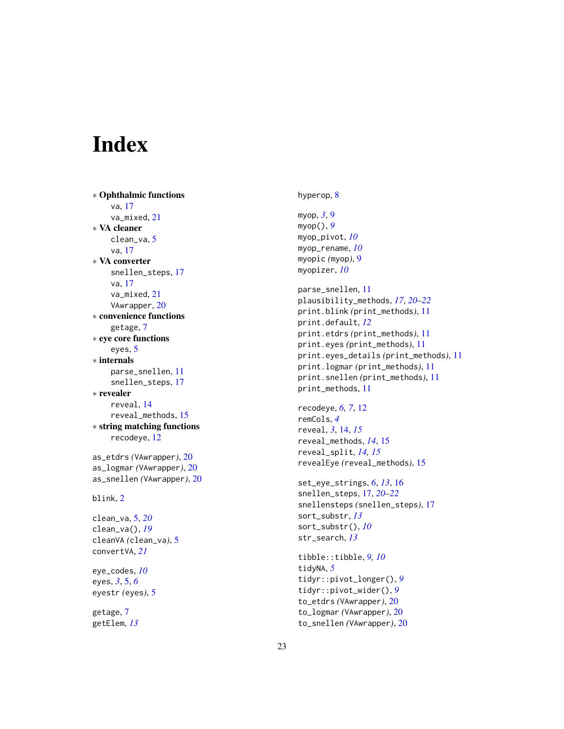# <span id="page-22-0"></span>Index

∗ Ophthalmic functions va , [17](#page-16-0) va\_mixed , [21](#page-20-0) ∗ VA cleaner clean\_va , [5](#page-4-0) va , [17](#page-16-0) ∗ VA converter snellen\_steps , [17](#page-16-0) va , [17](#page-16-0) va\_mixed , [21](#page-20-0) VAwrapper, [20](#page-19-0) ∗ convenience functions getage , [7](#page-6-0) ∗ eye core functions eyes , [5](#page-4-0) ∗ internals parse\_snellen , [11](#page-10-0) snellen\_steps , [17](#page-16-0) ∗ revealer reveal , [14](#page-13-0) reveal\_methods , [15](#page-14-0) ∗ string matching functions recodeye , [12](#page-11-0) as\_etdrs *(*VAwrapper *)* , [20](#page-19-0) as\_logmar *(*VAwrapper *)* , [20](#page-19-0) as\_snellen *(*VAwrapper *)* , [20](#page-19-0) blink , [2](#page-1-0) clean\_va , [5](#page-4-0) , *[20](#page-19-0)* clean\_va() , *[19](#page-18-0)* cleanVA *(*clean\_va *)* , [5](#page-4-0) convertVA , *[21](#page-20-0)* eye\_codes , *[10](#page-9-0)* eyes, *[3](#page-2-0)*, [5](#page-4-0), [6](#page-5-0) eyestr *(*eyes *)* , [5](#page-4-0) getage , [7](#page-6-0)

getElem , *[13](#page-12-0)*

hyperop, <mark>[8](#page-7-0)</mark>

myop , *[3](#page-2-0)* , [9](#page-8-0) myop() , *[9](#page-8-0)* myop\_pivot , *[10](#page-9-0)* myop\_rename , *[10](#page-9-0)* myopic *(*myop *)* , [9](#page-8-0) myopizer , *[10](#page-9-0)* parse\_snellen , [11](#page-10-0) plausibility\_methods , *[17](#page-16-0)* , *[20](#page-19-0)[–22](#page-21-0)* print.blink *(*print\_methods *)* , [11](#page-10-0) print.default , *[12](#page-11-0)* print.etdrs *(*print\_methods *)* , [11](#page-10-0) print.eyes *(*print\_methods *)* , [11](#page-10-0) print.eyes\_details *(*print\_methods *)* , [11](#page-10-0) print.logmar *(*print\_methods *)* , [11](#page-10-0) print.snellen *(*print\_methods *)* , [11](#page-10-0) print\_methods , [11](#page-10-0)

recodeye , *[6,](#page-5-0) [7](#page-6-0)* , [12](#page-11-0) remCols , *[4](#page-3-0)* reveal , *[3](#page-2-0)* , [14](#page-13-0) , *[15](#page-14-0)* reveal\_methods , *[14](#page-13-0)* , [15](#page-14-0) reveal\_split , *[14](#page-13-0) , [15](#page-14-0)* revealEye *(*reveal\_methods *)* , [15](#page-14-0)

set\_eye\_strings , *[6](#page-5-0)* , *[13](#page-12-0)* , [16](#page-15-0) snellen\_steps , [17](#page-16-0) , *[20](#page-19-0)[–22](#page-21-0)* snellensteps *(*snellen\_steps *)* , [17](#page-16-0) sort\_substr , *[13](#page-12-0)* sort\_substr() , *[10](#page-9-0)* str\_search , *[13](#page-12-0)*

tibble::tibble , *[9](#page-8-0) , [10](#page-9-0)* tidyNA , *[5](#page-4-0)* tidyr::pivot\_longer() , *[9](#page-8-0)* tidyr::pivot\_wider() , *[9](#page-8-0)* to\_etdrs *(*VAwrapper *)* , [20](#page-19-0) to\_logmar *(*VAwrapper *)* , [20](#page-19-0) to\_snellen *(*VAwrapper *)* , [20](#page-19-0)